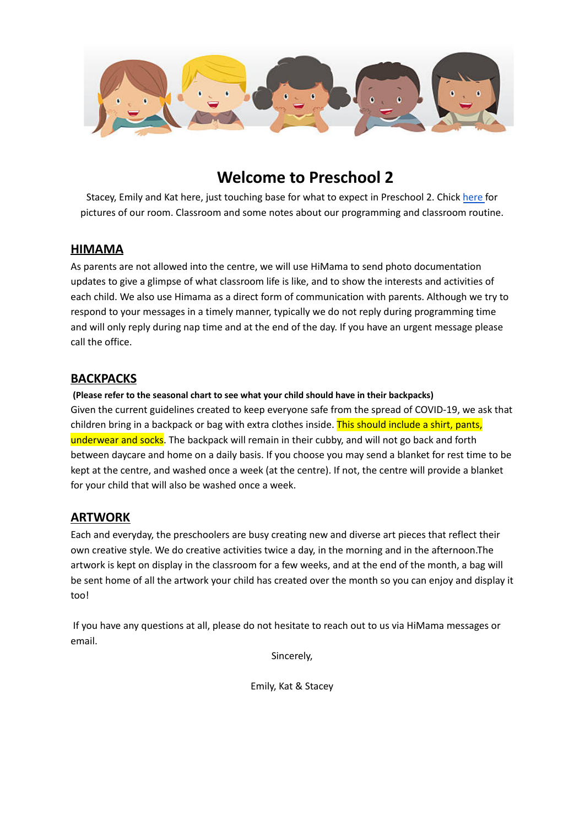

## **Welcome to Preschool 2**

Stacey, Emily and Kat here, just touching base for what to expect in Preschool 2. Chick [here](https://photos.app.goo.gl/2QE6iKP4Kw41MhAZ8) for pictures of our room. Classroom and some notes about our programming and classroom routine.

#### **HIMAMA**

As parents are not allowed into the centre, we will use HiMama to send photo documentation updates to give a glimpse of what classroom life is like, and to show the interests and activities of each child. We also use Himama as a direct form of communication with parents. Although we try to respond to your messages in a timely manner, typically we do not reply during programming time and will only reply during nap time and at the end of the day. If you have an urgent message please call the office.

### **BACKPACKS**

**(Please refer to the seasonal chart to see what your child should have in their backpacks)** Given the current guidelines created to keep everyone safe from the spread of COVID-19, we ask that children bring in a backpack or bag with extra clothes inside. This should include a shirt, pants, underwear and socks. The backpack will remain in their cubby, and will not go back and forth between daycare and home on a daily basis. If you choose you may send a blanket for rest time to be kept at the centre, and washed once a week (at the centre). If not, the centre will provide a blanket for your child that will also be washed once a week.

#### **ARTWORK**

Each and everyday, the preschoolers are busy creating new and diverse art pieces that reflect their own creative style. We do creative activities twice a day, in the morning and in the afternoon.The artwork is kept on display in the classroom for a few weeks, and at the end of the month, a bag will be sent home of all the artwork your child has created over the month so you can enjoy and display it too!

If you have any questions at all, please do not hesitate to reach out to us via HiMama messages or email.

Sincerely,

Emily, Kat & Stacey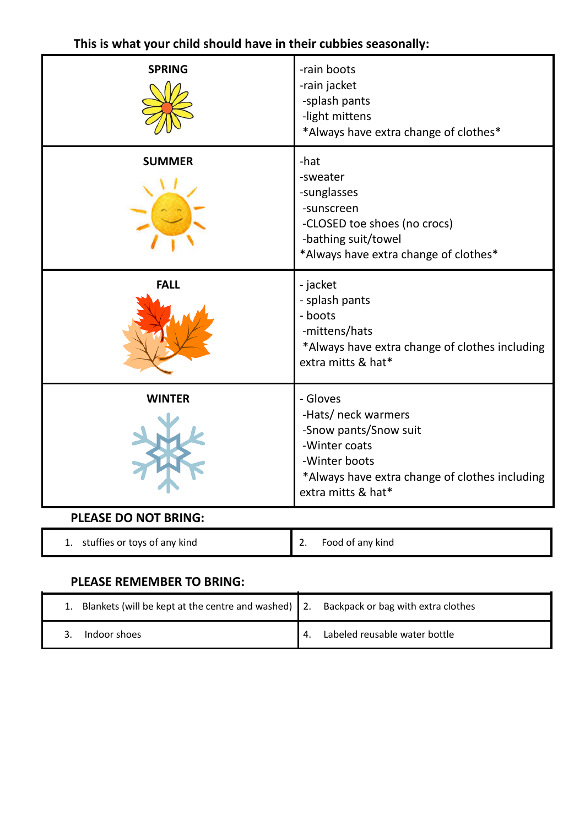| <b>SPRING</b>               | -rain boots<br>-rain jacket<br>-splash pants<br>-light mittens<br>*Always have extra change of clothes*                                                            |
|-----------------------------|--------------------------------------------------------------------------------------------------------------------------------------------------------------------|
| <b>SUMMER</b>               | -hat<br>-sweater<br>-sunglasses<br>-sunscreen<br>-CLOSED toe shoes (no crocs)<br>-bathing suit/towel<br>*Always have extra change of clothes*                      |
| <b>FALL</b>                 | - jacket<br>- splash pants<br>- boots<br>-mittens/hats<br>*Always have extra change of clothes including<br>extra mitts & hat*                                     |
| WINTER                      | - Gloves<br>-Hats/ neck warmers<br>-Snow pants/Snow suit<br>-Winter coats<br>-Winter boots<br>*Always have extra change of clothes including<br>extra mitts & hat* |
| <b>PLEASE DO NOT BRING:</b> |                                                                                                                                                                    |

## **This is what your child should have in their cubbies seasonally:**

| stuffies or toys of any kind | Food of any kind |
|------------------------------|------------------|
| . .                          | <u>.</u>         |

### **PLEASE REMEMBER TO BRING:**

| 1. Blankets (will be kept at the centre and washed) 2. Backpack or bag with extra clothes |                               |
|-------------------------------------------------------------------------------------------|-------------------------------|
| Indoor shoes                                                                              | Labeled reusable water bottle |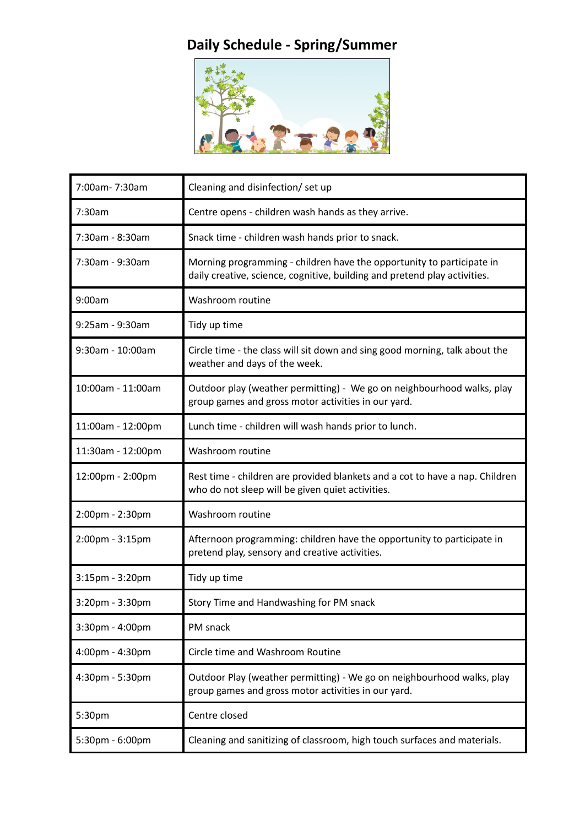## **Daily Schedule - Spring/Summer**



| 7:00am- 7:30am    | Cleaning and disinfection/ set up                                                                                                                  |
|-------------------|----------------------------------------------------------------------------------------------------------------------------------------------------|
| 7:30am            | Centre opens - children wash hands as they arrive.                                                                                                 |
| 7:30am - 8:30am   | Snack time - children wash hands prior to snack.                                                                                                   |
| 7:30am - 9:30am   | Morning programming - children have the opportunity to participate in<br>daily creative, science, cognitive, building and pretend play activities. |
| 9:00am            | Washroom routine                                                                                                                                   |
| 9:25am - 9:30am   | Tidy up time                                                                                                                                       |
| 9:30am - 10:00am  | Circle time - the class will sit down and sing good morning, talk about the<br>weather and days of the week.                                       |
| 10:00am - 11:00am | Outdoor play (weather permitting) - We go on neighbourhood walks, play<br>group games and gross motor activities in our yard.                      |
| 11:00am - 12:00pm | Lunch time - children will wash hands prior to lunch.                                                                                              |
| 11:30am - 12:00pm | Washroom routine                                                                                                                                   |
| 12:00pm - 2:00pm  | Rest time - children are provided blankets and a cot to have a nap. Children<br>who do not sleep will be given quiet activities.                   |
| 2:00pm - 2:30pm   | Washroom routine                                                                                                                                   |
| 2:00pm - 3:15pm   | Afternoon programming: children have the opportunity to participate in<br>pretend play, sensory and creative activities.                           |
| 3:15pm - 3:20pm   | Tidy up time                                                                                                                                       |
| 3:20pm - 3:30pm   | Story Time and Handwashing for PM snack                                                                                                            |
| 3:30pm - 4:00pm   | PM snack                                                                                                                                           |
| 4:00pm - 4:30pm   | Circle time and Washroom Routine                                                                                                                   |
| 4:30pm - 5:30pm   | Outdoor Play (weather permitting) - We go on neighbourhood walks, play<br>group games and gross motor activities in our yard.                      |
| 5:30pm            | Centre closed                                                                                                                                      |
| 5:30pm - 6:00pm   | Cleaning and sanitizing of classroom, high touch surfaces and materials.                                                                           |